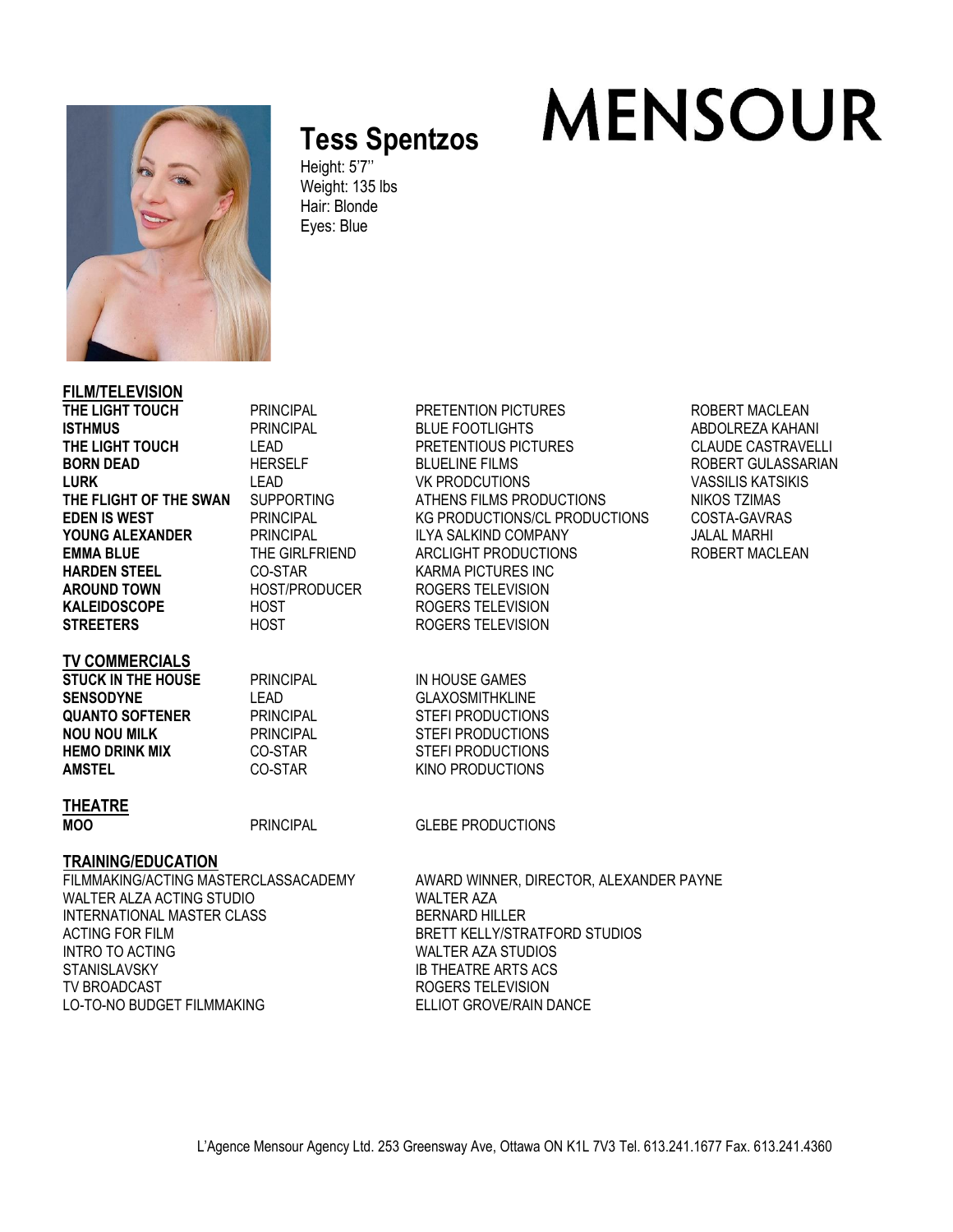

# **Tess Spentzos**

Height: 5'7'' Weight: 135 lbs Hair: Blonde Eyes: Blue

## **FILM/TELEVISION**

**HARDEN STEEL CO-STAR CO-STAR KARMA PICTURES INC** AROUND TOWN **HOST/PRODUCER** ROGERS TELEVISION **KALEIDOSCOPE** HOST ROGERS TELEVISION **STREETERS** HOST HOST ROGERS TELEVISION

#### **TV COMMERCIALS**

**STUCK IN THE HOUSE** PRINCIPAL IN HOUSE GAMES **SENSODYNE** LEAD LEAD GLAXOSMITHKLINE **QUANTO SOFTENER** PRINCIPAL STEFI PRODUCTIONS **NOU NOU MILK** PRINCIPAL STEFI PRODUCTIONS **HEMO DRINK MIX** CO-STAR STEFI PRODUCTIONS<br>**AMSTEL** CO-STAR STAR SINO PRODUCTIONS

**THE RINCIPAL PRETENTION PICTURES ROBERT MACLEAN ISTHMUS** PRINCIPAL BLUE FOOTLIGHTS ABDOLREZA KAHANI **THE LIGHT TO PRETENTIOUS PICTURES** CLAUDE CASTRAVELLI **BORN DEAD** HERSELF BLUELINE FILMS ROBERT GULASSARIAN **LURK** LEAD LEAD VK PRODCUTIONS VASSILIS KATSIKIS<br>THE FLIGHT OF THE SWAN SUPPORTING ATHENS FILMS PRODUCTIONS NIKOS TZIMAS **THE FLIGHT OF THE SWAN** SUPPORTING ATHENS FILMS PRODUCTIONS NIKOS TZIMAS **EDEN IS WEST** PRINCIPAL KG PRODUCTIONS/CL PRODUCTIONS COSTA-GAVRAS **YOUNG ALEXANDER** PRINCIPAL ILYA SALKIND COMPANY JALAL MARHI **EMMA BLUE** THE GIRLFRIEND ARCLIGHT PRODUCTIONS ROBERT MACLEAN

**MENSOUR** 

**CO-STAR KINO PRODUCTIONS** 

#### **THEATRE**

**MOO** PRINCIPAL GLEBE PRODUCTIONS

### **TRAINING/EDUCATION**

WALTER ALZA ACTING STUDIO INTERNATIONAL MASTER CLASS BERNARD HILLER ACTING FOR FILM BRETT KELLY/STRATFORD STUDIOS INTRO TO ACTING WALTER AZA STUDIOS STANISLAVSKY IB THEATRE ARTS ACS TV BROADCAST TELEVISION LO-TO-NO BUDGET FILMMAKING ELLIOT GROVE/RAIN DANCE

FILMMAKING/ACTING MASTERCLASSACADEMY AWARD WINNER, DIRECTOR, ALEXANDER PAYNE